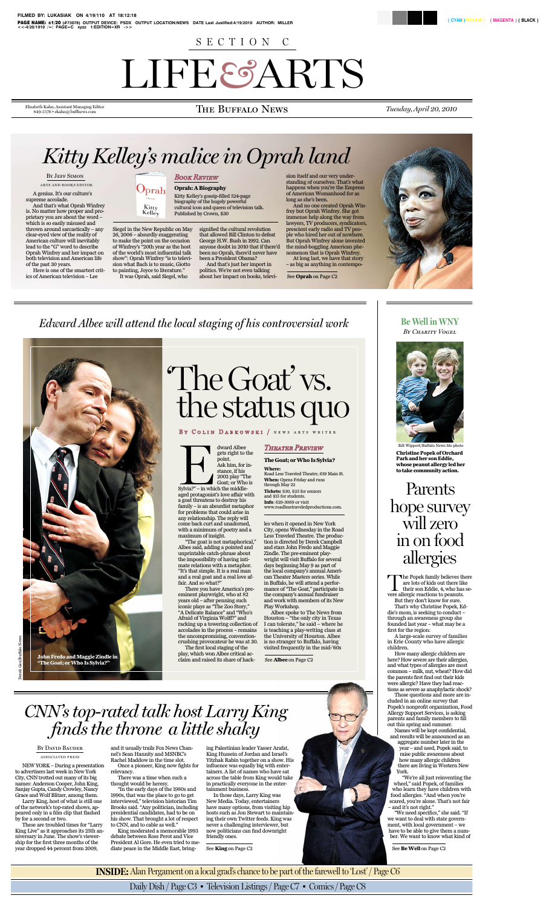

# The Goat' vs. the status quo

### BY COLIN DABKOWSKI / NEWS ARTS WRITER

Sylvia?" – in whi<br>aged protagonis<br>a goat threatens gets right to the point. Ask him, for instance, if his 2002 play "The Goat; or Who is Sylvia?" – in which the middleaged protagonist's love affair with a goat threatens to destroy his family – is an absurdist metaphor for problems that could arise in any relationship. The reply will come back curt and unadorned, with a minimum of poetry and a maximum of insight.

dward Albee

"The goat is not metaphorical," Albee said, adding a pointed and unprintable catch-phrase about the impossibility of having intimate relations with a metaphor. "It's that simple. It is a real man and a real goat and a real love affair. And so what?"

There you have America's preeminent playwright, who at 82 years old – after penning such iconic plays as "The Zoo Story," "A Delicate Balance" and "Who's Afraid of Virginia Wolff?" and racking up a towering collection of accolades in the process – remains the uncompromising, conventioncrushing provocateur he was at 30.

The first local staging of the play, which won Albee critical acclaim and raised its share of hack-

## *Theater Preview*

#### **TheGoat;orWhoIsSylvia?**

#### **Where:**

Road Less Traveled Theatre, 639 Main St. **When:** Opens Friday and runs

through May 22

**Tickets:** \$30, \$25 for seniors and \$15 for students. **Info**: 629-3069 or visit www.roadlesstraveledproductions.com.

les when it opened in New York City, opens Wednesday in the Road Less Traveled Theatre. The production is directed by Derek Campbell and stars John Fredo and Maggie Zindle. The pre-eminent playwright will visit Buffalo for several days beginning May 9 as part of the local company's annual American Theater Masters series. While in Buffalo, he will attend a performance of"The Goat," participate in the company's annual fundraiser and work with members of its New Play Workshop.

Albee spoke to The News from Houston – "the only city in Texas I can tolerate," he said – where he is teaching a play-writing class at the University of Houston. Albee is no stranger to Buffalo, having visited frequently in the mid-'60s

See **Albee** on Page C2